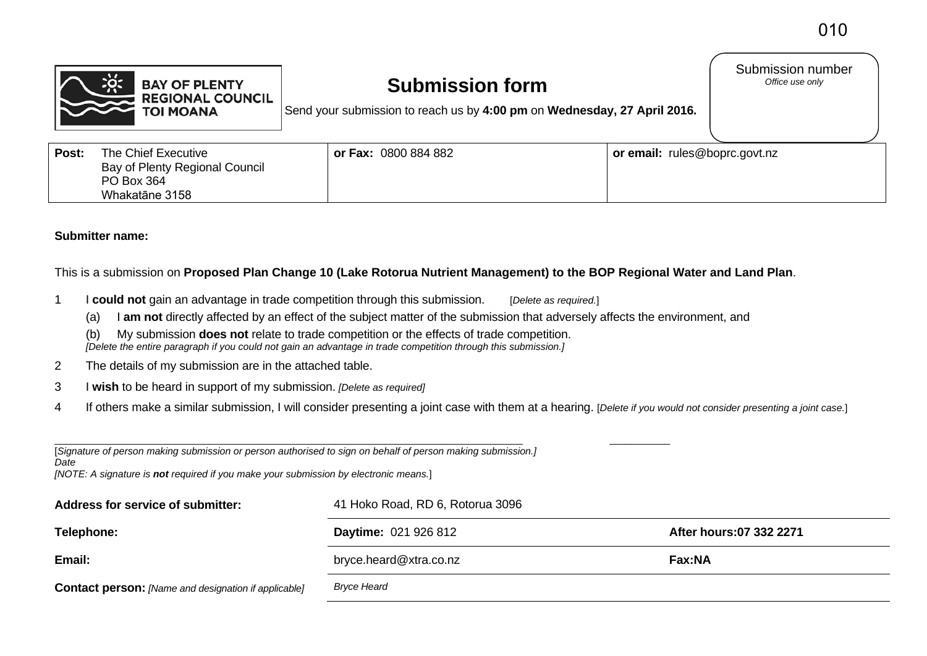Submission number<br>Office use only



# **Submission form**

Send your submission to reach us by **4:00 pm** on **Wednesday, 27 April 2016.**

| Post: | The Chief Executive            | <b>or Fax: 0800 884 882</b> | or email: rules@boprc.govt.nz |
|-------|--------------------------------|-----------------------------|-------------------------------|
|       | Bay of Plenty Regional Council |                             |                               |
|       | PO Box 364                     |                             |                               |
|       | Whakatāne 3158                 |                             |                               |

## **Submitter name:**

This is a submission on **Proposed Plan Change 10 (Lake Rotorua Nutrient Management) to the BOP Regional Water and Land Plan**.

- 1 I **could not** gain an advantage in trade competition through this submission. [*Delete as required.*]
	- (a) I **am not** directly affected by an effect of the subject matter of the submission that adversely affects the environment, and
	- (b) My submission **does not** relate to trade competition or the effects of trade competition. *[Delete the entire paragraph if you could not gain an advantage in trade competition through this submission.]*
- 2 The details of my submission are in the attached table.
- 3 I **wish** to be heard in support of my submission. *[Delete as required]*
- 4 If others make a similar submission, I will consider presenting a joint case with them at a hearing. [*Delete if you would not consider presenting a joint case.*]

| [Signature of person making submission or person authorised to sign on behalf of person making submission.] |
|-------------------------------------------------------------------------------------------------------------|

*Date*

*[NOTE: A signature is not required if you make your submission by electronic means.*]

| Address for service of submitter:                           | 41 Hoko Road, RD 6, Rotorua 3096 |                         |  |
|-------------------------------------------------------------|----------------------------------|-------------------------|--|
| Telephone:                                                  | <b>Daytime: 021 926 812</b>      | After hours:07 332 2271 |  |
| Email:                                                      | bryce.heard@xtra.co.nz           | Fax:NA                  |  |
| <b>Contact person:</b> [Name and designation if applicable] | Bryce Heard                      |                         |  |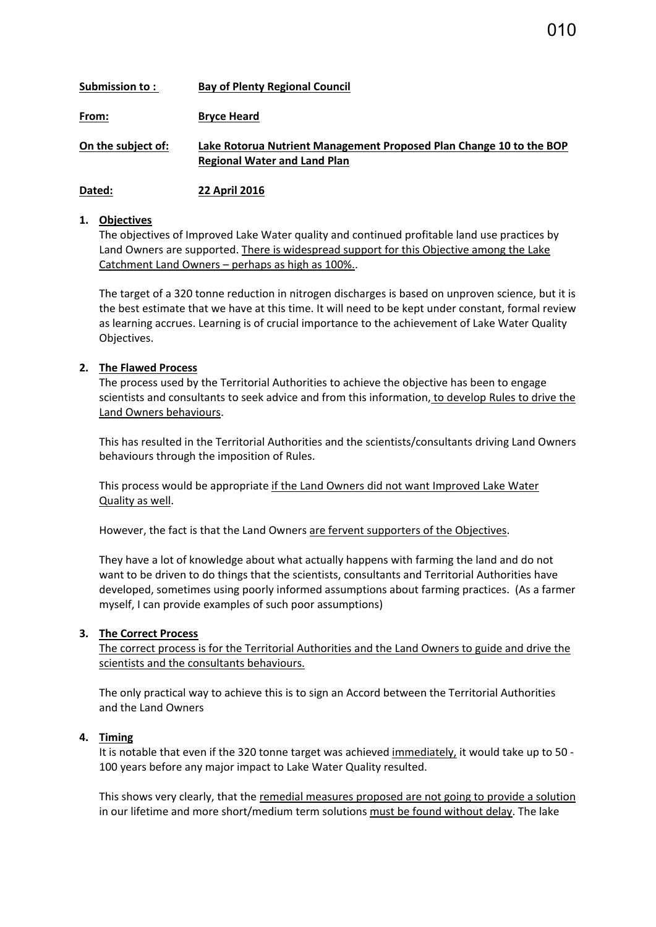| Submission to :    | <b>Bay of Plenty Regional Council</b>                                                                      |
|--------------------|------------------------------------------------------------------------------------------------------------|
| From:              | <b>Bryce Heard</b>                                                                                         |
| On the subject of: | Lake Rotorua Nutrient Management Proposed Plan Change 10 to the BOP<br><b>Regional Water and Land Plan</b> |

**Dated: 22 April 2016**

#### **1. Objectives**

The objectives of Improved Lake Water quality and continued profitable land use practices by Land Owners are supported. There is widespread support for this Objective among the Lake Catchment Land Owners – perhaps as high as 100%..

The target of a 320 tonne reduction in nitrogen discharges is based on unproven science, but it is the best estimate that we have at this time. It will need to be kept under constant, formal review as learning accrues. Learning is of crucial importance to the achievement of Lake Water Quality Objectives.

## **2. The Flawed Process**

The process used by the Territorial Authorities to achieve the objective has been to engage scientists and consultants to seek advice and from this information, to develop Rules to drive the Land Owners behaviours.

This has resulted in the Territorial Authorities and the scientists/consultants driving Land Owners behaviours through the imposition of Rules.

This process would be appropriate if the Land Owners did not want Improved Lake Water Quality as well.

However, the fact is that the Land Owners are fervent supporters of the Objectives.

They have a lot of knowledge about what actually happens with farming the land and do not want to be driven to do things that the scientists, consultants and Territorial Authorities have developed, sometimes using poorly informed assumptions about farming practices. (As a farmer myself, I can provide examples of such poor assumptions)

#### **3. The Correct Process**

The correct process is for the Territorial Authorities and the Land Owners to guide and drive the scientists and the consultants behaviours.

The only practical way to achieve this is to sign an Accord between the Territorial Authorities and the Land Owners

## **4. Timing**

It is notable that even if the 320 tonne target was achieved immediately, it would take up to 50 - 100 years before any major impact to Lake Water Quality resulted.

This shows very clearly, that the remedial measures proposed are not going to provide a solution in our lifetime and more short/medium term solutions must be found without delay. The lake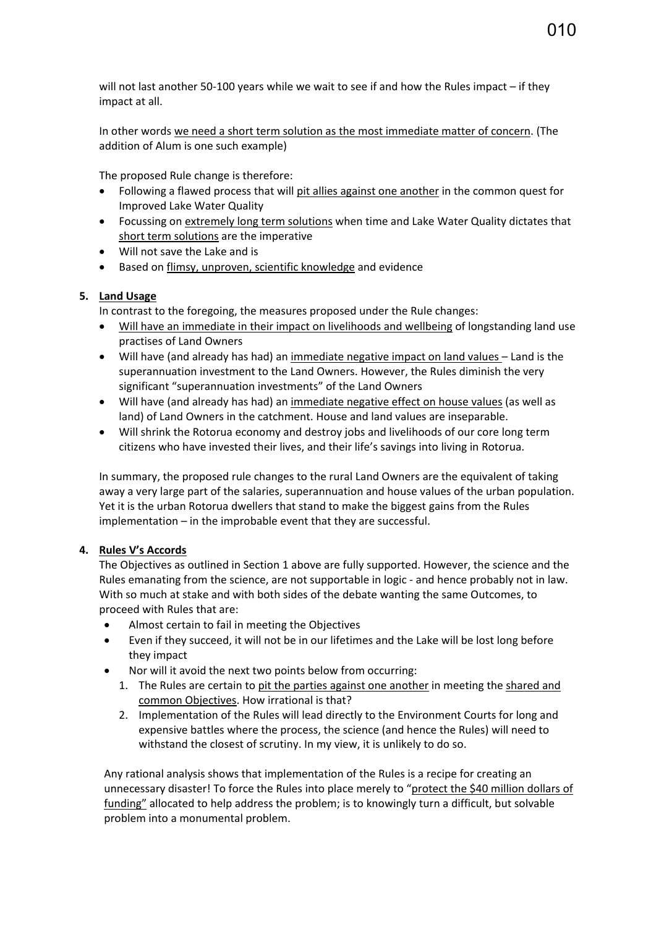will not last another 50-100 years while we wait to see if and how the Rules impact – if they impact at all.

In other words we need a short term solution as the most immediate matter of concern. (The addition of Alum is one such example)

The proposed Rule change is therefore:

- Following a flawed process that will pit allies against one another in the common quest for Improved Lake Water Quality
- Focussing on extremely long term solutions when time and Lake Water Quality dictates that short term solutions are the imperative
- Will not save the Lake and is
- Based on flimsy, unproven, scientific knowledge and evidence

# **5. Land Usage**

In contrast to the foregoing, the measures proposed under the Rule changes:

- Will have an immediate in their impact on livelihoods and wellbeing of longstanding land use practises of Land Owners
- Will have (and already has had) an immediate negative impact on land values Land is the superannuation investment to the Land Owners. However, the Rules diminish the very significant "superannuation investments" of the Land Owners
- Will have (and already has had) an immediate negative effect on house values (as well as land) of Land Owners in the catchment. House and land values are inseparable.
- Will shrink the Rotorua economy and destroy jobs and livelihoods of our core long term citizens who have invested their lives, and their life's savings into living in Rotorua.

In summary, the proposed rule changes to the rural Land Owners are the equivalent of taking away a very large part of the salaries, superannuation and house values of the urban population. Yet it is the urban Rotorua dwellers that stand to make the biggest gains from the Rules implementation – in the improbable event that they are successful.

# **4. Rules V's Accords**

The Objectives as outlined in Section 1 above are fully supported. However, the science and the Rules emanating from the science, are not supportable in logic - and hence probably not in law. With so much at stake and with both sides of the debate wanting the same Outcomes, to proceed with Rules that are:

- Almost certain to fail in meeting the Objectives
- Even if they succeed, it will not be in our lifetimes and the Lake will be lost long before they impact
- Nor will it avoid the next two points below from occurring:
	- 1. The Rules are certain to pit the parties against one another in meeting the shared and common Objectives. How irrational is that?
	- 2. Implementation of the Rules will lead directly to the Environment Courts for long and expensive battles where the process, the science (and hence the Rules) will need to withstand the closest of scrutiny. In my view, it is unlikely to do so.

Any rational analysis shows that implementation of the Rules is a recipe for creating an unnecessary disaster! To force the Rules into place merely to "protect the \$40 million dollars of funding" allocated to help address the problem; is to knowingly turn a difficult, but solvable problem into a monumental problem.